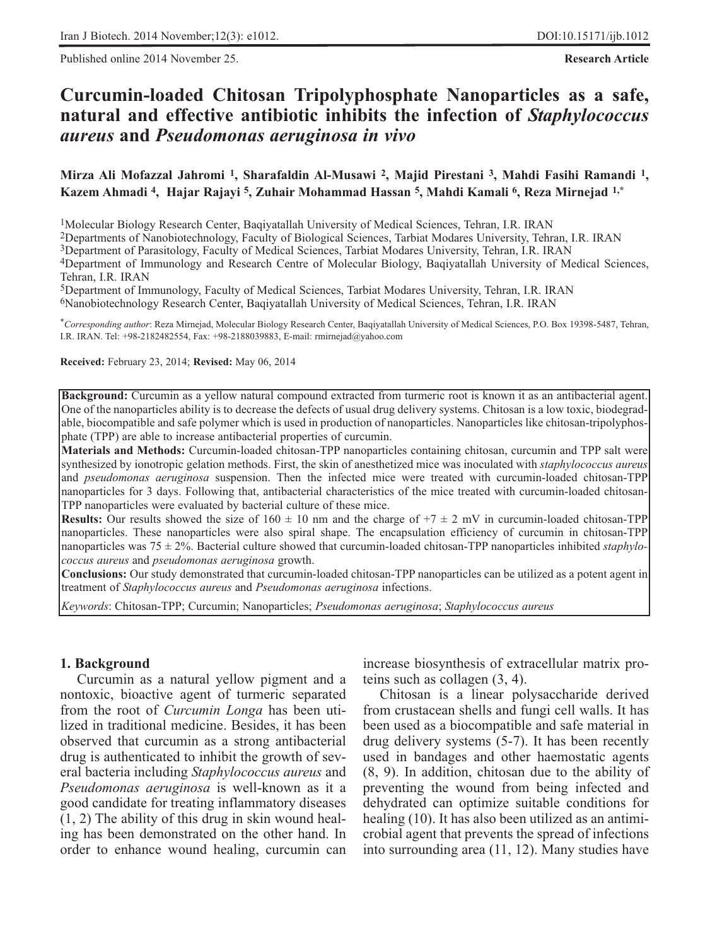Published online 2014 November 25. **Research Article**

# **Curcumin-loaded Chitosan Tripolyphosphate Nanoparticles as a safe, natural and effective antibiotic inhibits the infection of** *Staphylococcus aureus* **and** *Pseudomonas aeruginosa in vivo*

**Mirza Ali Mofazzal Jahromi 1, Sharafaldin Al-Musawi 2, Majid Pirestani 3, Mahdi Fasihi Ramandi 1, Kazem Ahmadi 4, Hajar Rajayi 5, Zuhair Mohammad Hassan 5, Mahdi Kamali 6, Reza Mirnejad 1,\***

1Molecular Biology Research Center, Baqiyatallah University of Medical Sciences, Tehran, I.R. IRAN

2Departments of Nanobiotechnology, Faculty of Biological Sciences, Tarbiat Modares University, Tehran, I.R. IRAN

3Department of Parasitology, Faculty of Medical Sciences, Tarbiat Modares University, Tehran, I.R. IRAN

4Department of Immunology and Research Centre of Molecular Biology, Baqiyatallah University of Medical Sciences, Tehran, I.R. IRAN

5Department of Immunology, Faculty of Medical Sciences, Tarbiat Modares University, Tehran, I.R. IRAN

6Nanobiotechnology Research Center, Baqiyatallah University of Medical Sciences, Tehran, I.R. IRAN

\**Corresponding author*: Reza Mirnejad, Molecular Biology Research Center, Baqiyatallah University of Medical Sciences, P.O. Box 19398-5487, Tehran, I.R. IRAN. Tel: +98-2182482554, Fax: +98-2188039883, E-mail: rmirnejad@yahoo.com

**Received:** February 23, 2014; **Revised:** May 06, 2014

**Background:** Curcumin as a yellow natural compound extracted from turmeric root is known it as an antibacterial agent. One of the nanoparticles ability is to decrease the defects of usual drug delivery systems. Chitosan is a low toxic, biodegradable, biocompatible and safe polymer which is used in production of nanoparticles. Nanoparticles like chitosan-tripolyphosphate (TPP) are able to increase antibacterial properties of curcumin.

**Materials and Methods:** Curcumin-loaded chitosan-TPP nanoparticles containing chitosan, curcumin and TPP salt were synthesized by ionotropic gelation methods. First, the skin of anesthetized mice was inoculated with *staphylococcus aureus* and *pseudomonas aeruginosa* suspension. Then the infected mice were treated with curcumin-loaded chitosan-TPP nanoparticles for 3 days. Following that, antibacterial characteristics of the mice treated with curcumin-loaded chitosan-TPP nanoparticles were evaluated by bacterial culture of these mice.

**Results:** Our results showed the size of  $160 \pm 10$  nm and the charge of  $+7 \pm 2$  mV in curcumin-loaded chitosan-TPP nanoparticles. These nanoparticles were also spiral shape. The encapsulation efficiency of curcumin in chitosan-TPP nanoparticles was 75 ± 2%. Bacterial culture showed that curcumin-loaded chitosan-TPP nanoparticles inhibited *staphylococcus aureus* and *pseudomonas aeruginosa* growth.

**Conclusions:** Our study demonstrated that curcumin-loaded chitosan-TPP nanoparticles can be utilized as a potent agent in treatment of *Staphylococcus aureus* and *Pseudomonas aeruginosa* infections.

*Keywords*: Chitosan-TPP; Curcumin; Nanoparticles; *Pseudomonas aeruginosa*; *Staphylococcus aureus*

#### **1. Background**

Curcumin as a natural yellow pigment and a nontoxic, bioactive agent of turmeric separated from the root of *Curcumin Longa* has been utilized in traditional medicine. Besides, it has been observed that curcumin as a strong antibacterial drug is authenticated to inhibit the growth of several bacteria including *Staphylococcus aureus* and *Pseudomonas aeruginosa* is well-known as it a good candidate for treating inflammatory diseases (1, 2) The ability of this drug in skin wound healing has been demonstrated on the other hand. In order to enhance wound healing, curcumin can increase biosynthesis of extracellular matrix proteins such as collagen (3, 4).

Chitosan is a linear polysaccharide derived from crustacean shells and fungi cell walls. It has been used as a biocompatible and safe material in drug delivery systems (5-7). It has been recently used in bandages and other haemostatic agents (8, 9). In addition, chitosan due to the ability of preventing the wound from being infected and dehydrated can optimize suitable conditions for healing (10). It has also been utilized as an antimicrobial agent that prevents the spread of infections into surrounding area (11, 12). Many studies have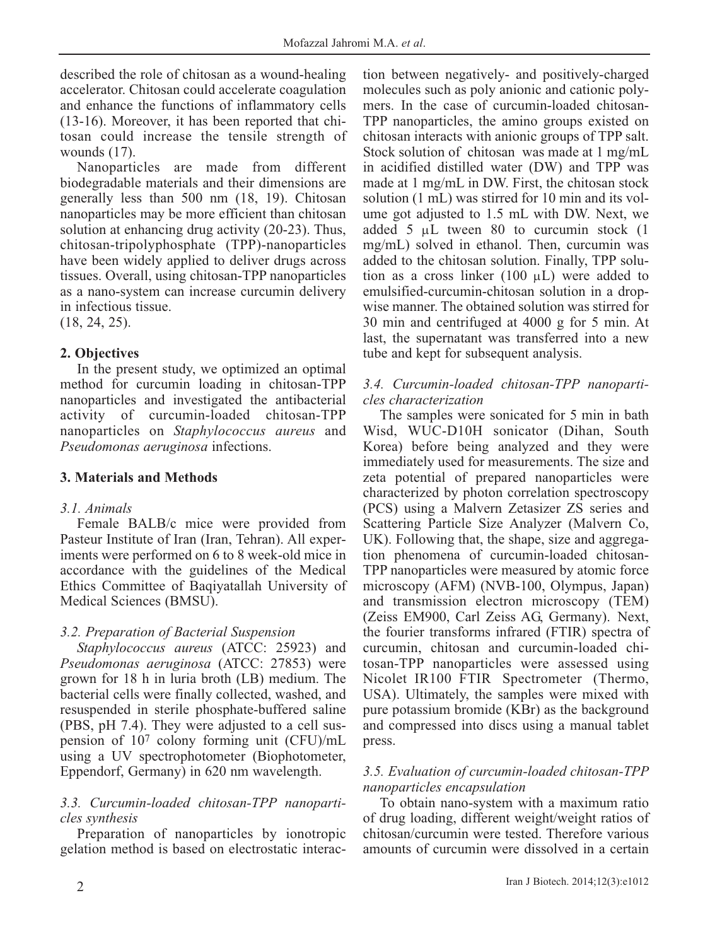described the role of chitosan as a wound-healing accelerator. Chitosan could accelerate coagulation and enhance the functions of inflammatory cells (13-16). Moreover, it has been reported that chitosan could increase the tensile strength of wounds (17).

Nanoparticles are made from different biodegradable materials and their dimensions are generally less than 500 nm (18, 19). Chitosan nanoparticles may be more efficient than chitosan solution at enhancing drug activity (20-23). Thus, chitosan-tripolyphosphate (TPP)-nanoparticles have been widely applied to deliver drugs across tissues. Overall, using chitosan-TPP nanoparticles as a nano-system can increase curcumin delivery in infectious tissue.

(18, 24, 25).

# **2. Objectives**

In the present study, we optimized an optimal method for curcumin loading in chitosan-TPP nanoparticles and investigated the antibacterial activity of curcumin-loaded chitosan-TPP nanoparticles on *Staphylococcus aureus* and *Pseudomonas aeruginosa* infections.

# **3. Materials and Methods**

## *3.1. Animals*

Female BALB/c mice were provided from Pasteur Institute of Iran (Iran, Tehran). All experiments were performed on 6 to 8 week-old mice in accordance with the guidelines of the Medical Ethics Committee of Baqiyatallah University of Medical Sciences (BMSU).

# *3.2. Preparation of Bacterial Suspension*

*Staphylococcus aureus* (ATCC: 25923) and *Pseudomonas aeruginosa* (ATCC: 27853) were grown for 18 h in luria broth (LB) medium. The bacterial cells were finally collected, washed, and resuspended in sterile phosphate-buffered saline (PBS, pH 7.4). They were adjusted to a cell suspension of 107 colony forming unit (CFU)/mL using a UV spectrophotometer (Biophotometer, Eppendorf, Germany) in 620 nm wavelength.

# *3.3. Curcumin-loaded chitosan-TPP nanoparticles synthesis*

Preparation of nanoparticles by ionotropic gelation method is based on electrostatic interaction between negatively- and positively-charged molecules such as poly anionic and cationic polymers. In the case of curcumin-loaded chitosan-TPP nanoparticles, the amino groups existed on chitosan interacts with anionic groups of TPP salt. Stock solution of chitosan was made at 1 mg/mL in acidified distilled water (DW) and TPP was made at 1 mg/mL in DW. First, the chitosan stock solution (1 mL) was stirred for 10 min and its volume got adjusted to 1.5 mL with DW. Next, we added 5  $\mu$ L tween 80 to curcumin stock (1) mg/mL) solved in ethanol. Then, curcumin was added to the chitosan solution. Finally, TPP solution as a cross linker (100 μL) were added to emulsified-curcumin-chitosan solution in a dropwise manner. The obtained solution was stirred for 30 min and centrifuged at 4000 g for 5 min. At last, the supernatant was transferred into a new tube and kept for subsequent analysis.

## *3.4. Curcumin-loaded chitosan-TPP nanoparticles characterization*

The samples were sonicated for 5 min in bath Wisd, WUC-D10H sonicator (Dihan, South Korea) before being analyzed and they were immediately used for measurements. The size and zeta potential of prepared nanoparticles were characterized by photon correlation spectroscopy (PCS) using a Malvern Zetasizer ZS series and Scattering Particle Size Analyzer (Malvern Co, UK). Following that, the shape, size and aggregation phenomena of curcumin-loaded chitosan-TPP nanoparticles were measured by atomic force microscopy (AFM) (NVB-100, Olympus, Japan) and transmission electron microscopy (TEM) (Zeiss EM900, Carl Zeiss AG, Germany). Next, the fourier transforms infrared (FTIR) spectra of curcumin, chitosan and curcumin-loaded chitosan-TPP nanoparticles were assessed using Nicolet IR100 FTIR Spectrometer (Thermo, USA). Ultimately, the samples were mixed with pure potassium bromide (KBr) as the background and compressed into discs using a manual tablet press.

## *3.5. Evaluation of curcumin-loaded chitosan-TPP nanoparticles encapsulation*

To obtain nano-system with a maximum ratio of drug loading, different weight/weight ratios of chitosan/curcumin were tested. Therefore various amounts of curcumin were dissolved in a certain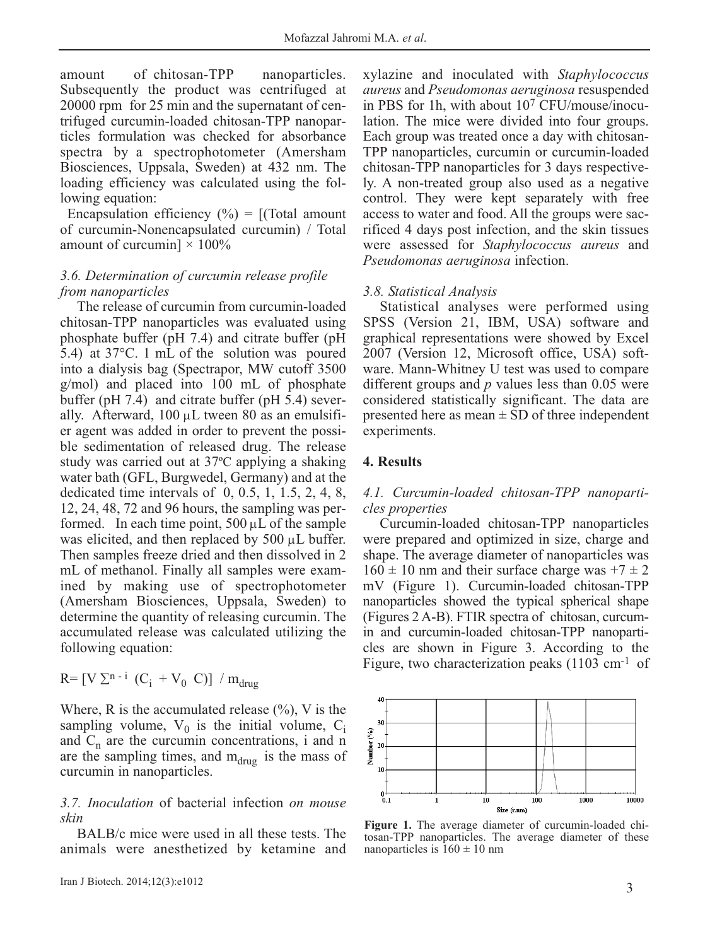amount of chitosan-TPP nanoparticles. Subsequently the product was centrifuged at 20000 rpm for 25 min and the supernatant of centrifuged curcumin-loaded chitosan-TPP nanoparticles formulation was checked for absorbance spectra by a spectrophotometer (Amersham Biosciences, Uppsala, Sweden) at 432 nm. The loading efficiency was calculated using the following equation:

Encapsulation efficiency  $(\% ) = [(\text{Total amount})$ of curcumin-Nonencapsulated curcumin) / Total amount of curcumin]  $\times$  100%

### *3.6. Determination of curcumin release profile from nanoparticles*

The release of curcumin from curcumin-loaded chitosan-TPP nanoparticles was evaluated using phosphate buffer (pH 7.4) and citrate buffer (pH 5.4) at 37°C. 1 mL of the solution was poured into a dialysis bag (Spectrapor, MW cutoff 3500 g/mol) and placed into 100 mL of phosphate buffer (pH 7.4) and citrate buffer (pH 5.4) severally. Afterward,  $100 \mu L$  tween 80 as an emulsifier agent was added in order to prevent the possible sedimentation of released drug. The release study was carried out at 37ºC applying a shaking water bath (GFL, Burgwedel, Germany) and at the dedicated time intervals of 0, 0.5, 1, 1.5, 2, 4, 8, 12, 24, 48, 72 and 96 hours, the sampling was performed. In each time point,  $500 \mu L$  of the sample was elicited, and then replaced by 500 μL buffer. Then samples freeze dried and then dissolved in 2 mL of methanol. Finally all samples were examined by making use of spectrophotometer (Amersham Biosciences, Uppsala, Sweden) to determine the quantity of releasing curcumin. The accumulated release was calculated utilizing the following equation:

 $R = [V \Sigma^{n-i} (C_i + V_0 C)] / m_{druo}$ 

Where, R is the accumulated release  $(\%)$ , V is the sampling volume,  $V_0$  is the initial volume,  $C_i$ and  $C_n$  are the curcumin concentrations, i and n are the sampling times, and  $m_{\text{drug}}$  is the mass of curcumin in nanoparticles.

*3.7. Inoculation* of bacterial infection *on mouse skin*

BALB/c mice were used in all these tests. The animals were anesthetized by ketamine and xylazine and inoculated with *Staphylococcus aureus* and *Pseudomonas aeruginosa* resuspended in PBS for 1h, with about 107 CFU/mouse/inoculation. The mice were divided into four groups. Each group was treated once a day with chitosan-TPP nanoparticles, curcumin or curcumin-loaded chitosan-TPP nanoparticles for 3 days respectively. A non-treated group also used as a negative control. They were kept separately with free access to water and food. All the groups were sacrificed 4 days post infection, and the skin tissues were assessed for *Staphylococcus aureus* and *Pseudomonas aeruginosa* infection.

### *3.8. Statistical Analysis*

Statistical analyses were performed using SPSS (Version 21, IBM, USA) software and graphical representations were showed by Excel 2007 (Version 12, Microsoft office, USA) software. Mann-Whitney U test was used to compare different groups and *p* values less than 0.05 were considered statistically significant. The data are presented here as mean ± SD of three independent experiments.

## **4. Results**

### *4.1. Curcumin-loaded chitosan-TPP nanoparticles properties*

Curcumin-loaded chitosan-TPP nanoparticles were prepared and optimized in size, charge and shape. The average diameter of nanoparticles was  $160 \pm 10$  nm and their surface charge was  $+7 \pm 2$ mV (Figure 1). Curcumin-loaded chitosan-TPP nanoparticles showed the typical spherical shape (Figures 2 A-B). FTIR spectra of chitosan, curcumin and curcumin-loaded chitosan-TPP nanoparticles are shown in Figure 3. According to the Figure, two characterization peaks (1103 cm<sup>-1</sup> of



**Figure 1.** The average diameter of curcumin-loaded chitosan-TPP nanoparticles. The average diameter of these nanoparticles is  $160 \pm 10$  nm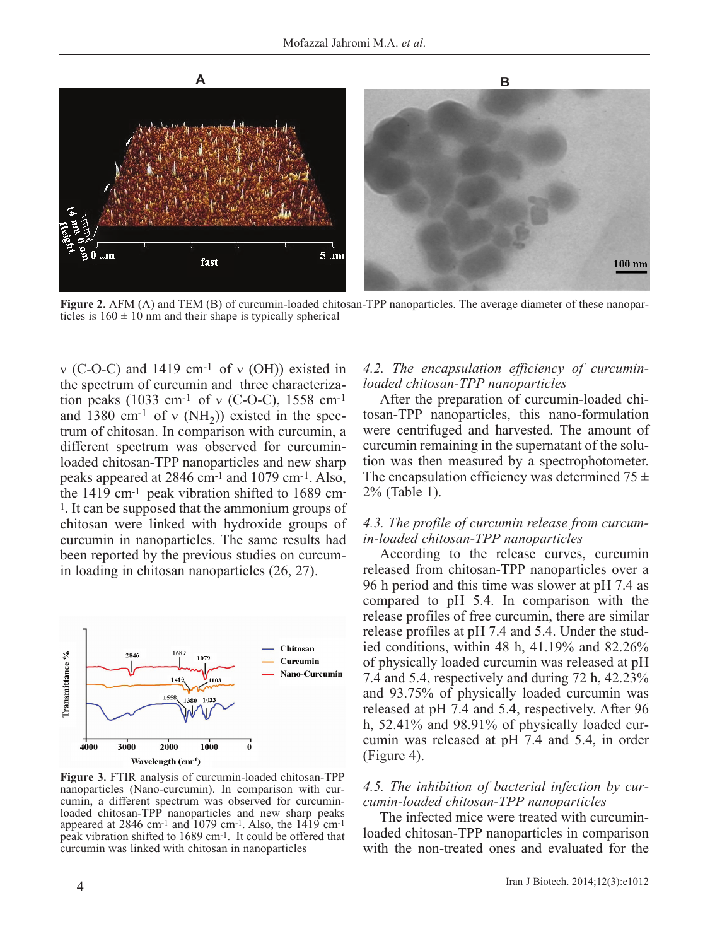

**Figure 2.** AFM (A) and TEM (B) of curcumin-loaded chitosan-TPP nanoparticles. The average diameter of these nanoparticles is  $160 \pm 10$  nm and their shape is typically spherical

ν (C-O-C) and 1419 cm-1 of ν (OH)) existed in the spectrum of curcumin and three characterization peaks (1033 cm<sup>-1</sup> of v (C-O-C), 1558 cm<sup>-1</sup> and 1380 cm<sup>-1</sup> of v (NH<sub>2</sub>)) existed in the spectrum of chitosan. In comparison with curcumin, a different spectrum was observed for curcuminloaded chitosan-TPP nanoparticles and new sharp peaks appeared at 2846 cm-1 and 1079 cm-1. Also, the 1419 cm-1 peak vibration shifted to 1689 cm-1. It can be supposed that the ammonium groups of chitosan were linked with hydroxide groups of curcumin in nanoparticles. The same results had been reported by the previous studies on curcumin loading in chitosan nanoparticles (26, 27).



**Figure 3.** FTIR analysis of curcumin-loaded chitosan-TPP nanoparticles (Nano-curcumin). In comparison with curcumin, a different spectrum was observed for curcuminloaded chitosan-TPP nanoparticles and new sharp peaks appeared at 2846 cm<sup>-1</sup> and  $1079$  cm<sup>-1</sup>. Also, the  $1419$  cm<sup>-1</sup> peak vibration shifted to 1689 cm-1. It could be offered that curcumin was linked with chitosan in nanoparticles

#### *4.2. The encapsulation efficiency of curcuminloaded chitosan-TPP nanoparticles*

After the preparation of curcumin-loaded chitosan-TPP nanoparticles, this nano-formulation were centrifuged and harvested. The amount of curcumin remaining in the supernatant of the solution was then measured by a spectrophotometer. The encapsulation efficiency was determined  $75 \pm$ 2% (Table 1).

#### *4.3. The profile of curcumin release from curcumin-loaded chitosan-TPP nanoparticles*

According to the release curves, curcumin released from chitosan-TPP nanoparticles over a 96 h period and this time was slower at pH 7.4 as compared to pH 5.4. In comparison with the release profiles of free curcumin, there are similar release profiles at pH 7.4 and 5.4. Under the studied conditions, within 48 h, 41.19% and 82.26% of physically loaded curcumin was released at pH 7.4 and 5.4, respectively and during 72 h, 42.23% and 93.75% of physically loaded curcumin was released at pH 7.4 and 5.4, respectively. After 96 h, 52.41% and 98.91% of physically loaded curcumin was released at pH 7.4 and 5.4, in order (Figure 4).

### *4.5. The inhibition of bacterial infection by curcumin-loaded chitosan-TPP nanoparticles*

The infected mice were treated with curcuminloaded chitosan-TPP nanoparticles in comparison with the non-treated ones and evaluated for the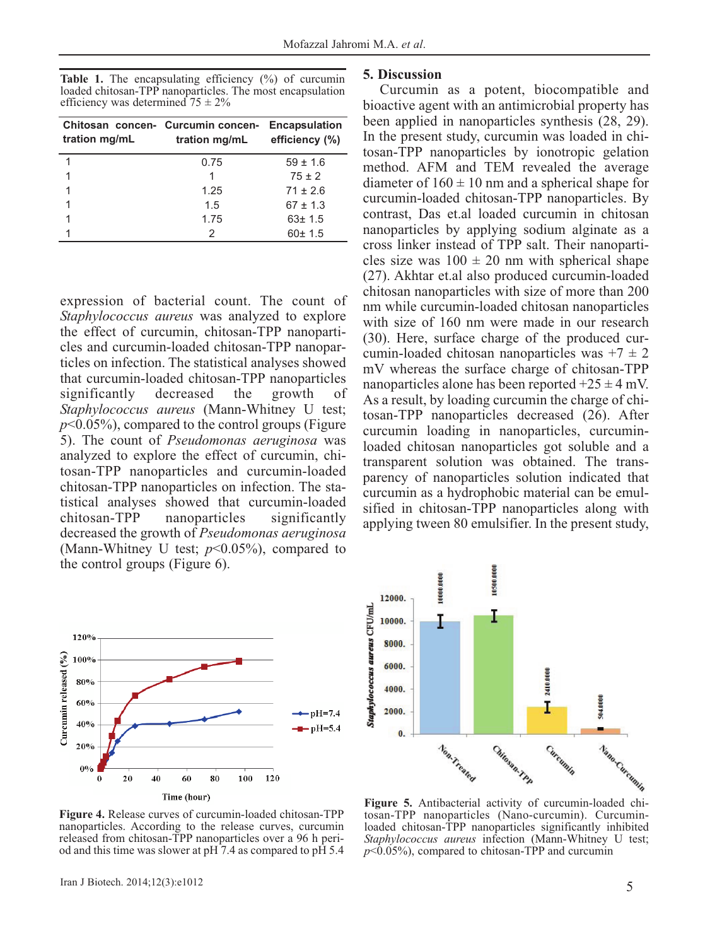Table 1. The encapsulating efficiency (%) of curcumin loaded chitosan-TPP nanoparticles. The most encapsulation efficiency was determined  $75 \pm 2\%$ 

| tration mg/mL | Chitosan concen- Curcumin concen-<br>tration mg/mL efficiency (%) | <b>Encapsulation</b> |
|---------------|-------------------------------------------------------------------|----------------------|
|               | 0.75                                                              | $59 \pm 1.6$         |
|               |                                                                   | $75 \pm 2$           |
|               | 1.25                                                              | $71 + 26$            |
|               | 1.5                                                               | $67 \pm 1.3$         |
|               | 1.75                                                              | $63 \pm 1.5$         |
|               | 2                                                                 | 60±1.5               |

expression of bacterial count. The count of *Staphylococcus aureus* was analyzed to explore the effect of curcumin, chitosan-TPP nanoparticles and curcumin-loaded chitosan-TPP nanoparticles on infection. The statistical analyses showed that curcumin-loaded chitosan-TPP nanoparticles significantly decreased the growth of *Staphylococcus aureus* (Mann-Whitney U test;  $p$ <0.05%), compared to the control groups (Figure 5). The count of *Pseudomonas aeruginosa* was analyzed to explore the effect of curcumin, chitosan-TPP nanoparticles and curcumin-loaded chitosan-TPP nanoparticles on infection. The statistical analyses showed that curcumin-loaded chitosan-TPP nanoparticles significantly decreased the growth of *Pseudomonas aeruginosa* (Mann-Whitney U test;  $p<0.05\%$ ), compared to the control groups (Figure 6).



# **5. Discussion**

Curcumin as a potent, biocompatible and bioactive agent with an antimicrobial property has been applied in nanoparticles synthesis (28, 29). In the present study, curcumin was loaded in chitosan-TPP nanoparticles by ionotropic gelation method. AFM and TEM revealed the average diameter of  $160 \pm 10$  nm and a spherical shape for curcumin-loaded chitosan-TPP nanoparticles. By contrast, Das et.al loaded curcumin in chitosan nanoparticles by applying sodium alginate as a cross linker instead of TPP salt. Their nanoparticles size was  $100 \pm 20$  nm with spherical shape (27). Akhtar et.al also produced curcumin-loaded chitosan nanoparticles with size of more than 200 nm while curcumin-loaded chitosan nanoparticles with size of 160 nm were made in our research (30). Here, surface charge of the produced curcumin-loaded chitosan nanoparticles was  $+7 \pm 2$ mV whereas the surface charge of chitosan-TPP nanoparticles alone has been reported  $+25 \pm 4$  mV. As a result, by loading curcumin the charge of chitosan-TPP nanoparticles decreased (26). After curcumin loading in nanoparticles, curcuminloaded chitosan nanoparticles got soluble and a transparent solution was obtained. The transparency of nanoparticles solution indicated that curcumin as a hydrophobic material can be emulsified in chitosan-TPP nanoparticles along with applying tween 80 emulsifier. In the present study,



tosan-TPP nanoparticles (Nano-curcumin). Curcuminloaded chitosan-TPP nanoparticles significantly inhibited *Staphylococcus aureus* infection (Mann-Whitney U test;  $p<0.05\%$ , compared to chitosan-TPP and curcumin

**Figure 4.** Release curves of curcumin-loaded chitosan-TPP nanoparticles. According to the release curves, curcumin released from chitosan-TPP nanoparticles over a 96 h period and this time was slower at  $pH \overline{7.4}$  as compared to  $p\overline{H} 5.4$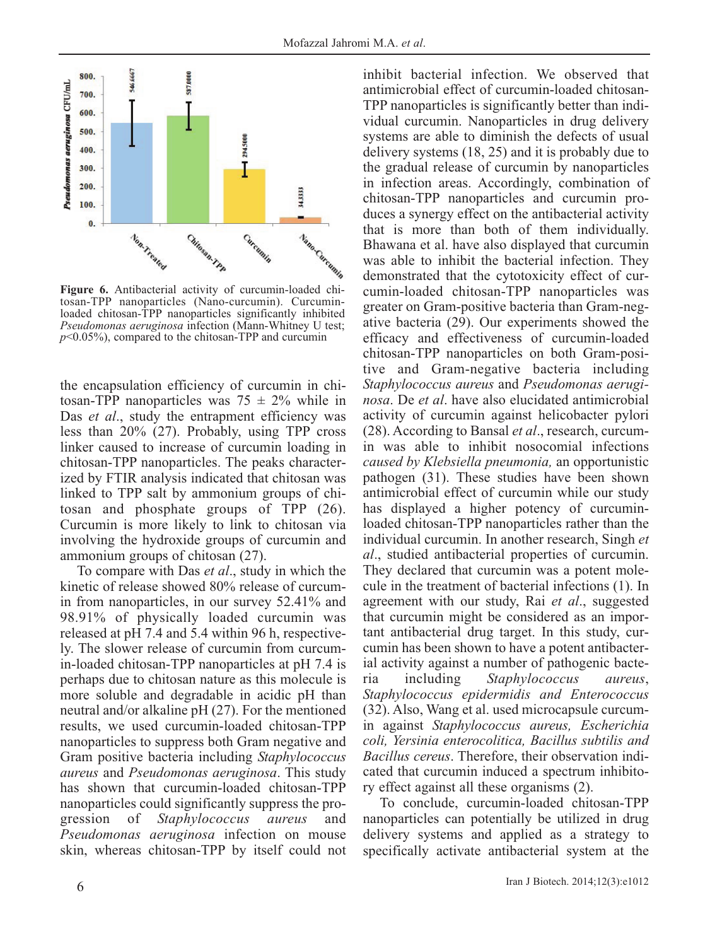

tosan-TPP nanoparticles (Nano-curcumin). Curcuminloaded chitosan-TPP nanoparticles significantly inhibited *Pseudomonas aeruginosa* infection (Mann-Whitney U test; *p*<0.05%), compared to the chitosan-TPP and curcumin

the encapsulation efficiency of curcumin in chitosan-TPP nanoparticles was  $75 \pm 2\%$  while in Das *et al.*, study the entrapment efficiency was less than 20% (27). Probably, using TPP cross linker caused to increase of curcumin loading in chitosan-TPP nanoparticles. The peaks characterized by FTIR analysis indicated that chitosan was linked to TPP salt by ammonium groups of chitosan and phosphate groups of TPP (26). Curcumin is more likely to link to chitosan via involving the hydroxide groups of curcumin and ammonium groups of chitosan (27).

To compare with Das *et al*., study in which the kinetic of release showed 80% release of curcumin from nanoparticles, in our survey 52.41% and 98.91% of physically loaded curcumin was released at pH 7.4 and 5.4 within 96 h, respectively. The slower release of curcumin from curcumin-loaded chitosan-TPP nanoparticles at pH 7.4 is perhaps due to chitosan nature as this molecule is more soluble and degradable in acidic pH than neutral and/or alkaline pH (27). For the mentioned results, we used curcumin-loaded chitosan-TPP nanoparticles to suppress both Gram negative and Gram positive bacteria including *Staphylococcus aureus* and *Pseudomonas aeruginosa*. This study has shown that curcumin-loaded chitosan-TPP nanoparticles could significantly suppress the progression of *Staphylococcus aureus* and *Pseudomonas aeruginosa* infection on mouse skin, whereas chitosan-TPP by itself could not inhibit bacterial infection. We observed that antimicrobial effect of curcumin-loaded chitosan-TPP nanoparticles is significantly better than individual curcumin. Nanoparticles in drug delivery systems are able to diminish the defects of usual delivery systems (18, 25) and it is probably due to the gradual release of curcumin by nanoparticles in infection areas. Accordingly, combination of chitosan-TPP nanoparticles and curcumin produces a synergy effect on the antibacterial activity that is more than both of them individually. Bhawana et al. have also displayed that curcumin was able to inhibit the bacterial infection. They demonstrated that the cytotoxicity effect of curcumin-loaded chitosan-TPP nanoparticles was greater on Gram-positive bacteria than Gram-negative bacteria (29). Our experiments showed the efficacy and effectiveness of curcumin-loaded chitosan-TPP nanoparticles on both Gram-positive and Gram-negative bacteria including *Staphylococcus aureus* and *Pseudomonas aeruginosa*. De *et al*. have also elucidated antimicrobial activity of curcumin against helicobacter pylori (28). According to Bansal *et al*., research, curcumin was able to inhibit nosocomial infections *caused by Klebsiella pneumonia,* an opportunistic pathogen (31). These studies have been shown antimicrobial effect of curcumin while our study has displayed a higher potency of curcuminloaded chitosan-TPP nanoparticles rather than the individual curcumin. In another research, Singh *et al*., studied antibacterial properties of curcumin. They declared that curcumin was a potent molecule in the treatment of bacterial infections (1). In agreement with our study, Rai *et al*., suggested that curcumin might be considered as an important antibacterial drug target. In this study, curcumin has been shown to have a potent antibacterial activity against a number of pathogenic bacteria including *Staphylococcus aureus*, *Staphylococcus epidermidis and Enterococcus* (32). Also, Wang et al. used microcapsule curcumin against *Staphylococcus aureus, Escherichia coli, Yersinia enterocolitica, Bacillus subtilis and Bacillus cereus*. Therefore, their observation indicated that curcumin induced a spectrum inhibitory effect against all these organisms (2).

To conclude, curcumin-loaded chitosan-TPP nanoparticles can potentially be utilized in drug delivery systems and applied as a strategy to specifically activate antibacterial system at the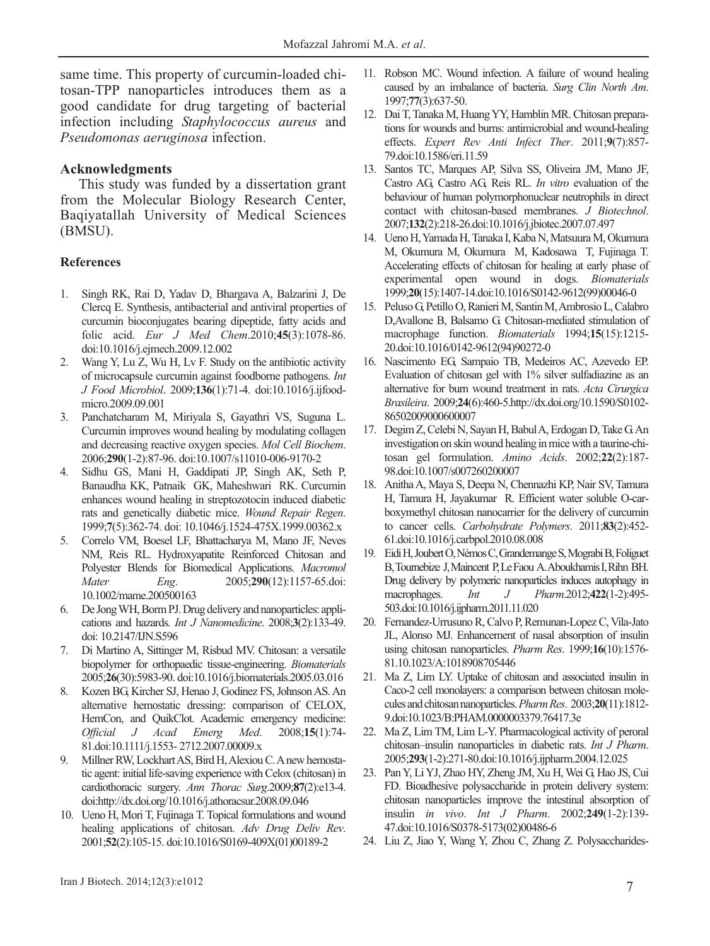same time. This property of curcumin-loaded chitosan-TPP nanoparticles introduces them as a good candidate for drug targeting of bacterial infection including *Staphylococcus aureus* and *Pseudomonas aeruginosa* infection.

#### **Acknowledgments**

This study was funded by a dissertation grant from the Molecular Biology Research Center, Baqiyatallah University of Medical Sciences (BMSU).

#### **References**

- 1. Singh RK, Rai D, Yadav D, Bhargava A, Balzarini J, De Clercq E. Synthesis, antibacterial and antiviral properties of curcumin bioconjugates bearing dipeptide, fatty acids and folic acid. *Eur J Med Chem*.2010;**45**(3):1078-86. doi:10.1016/j.ejmech.2009.12.002
- 2. Wang Y, Lu Z, Wu H, Lv F. Study on the antibiotic activity of microcapsule curcumin against foodborne pathogens. *Int J Food Microbiol*. 2009;**136**(1):71-4. doi:10.1016/j.ijfoodmicro.2009.09.001
- 3. Panchatcharam M, Miriyala S, Gayathri VS, Suguna L. Curcumin improves wound healing by modulating collagen and decreasing reactive oxygen species. *Mol Cell Biochem*. 2006;**290**(1-2):87-96. doi:10.1007/s11010-006-9170-2
- 4. Sidhu GS, Mani H, Gaddipati JP, Singh AK, Seth P, Banaudha KK, Patnaik GK, Maheshwari RK. Curcumin enhances wound healing in streptozotocin induced diabetic rats and genetically diabetic mice. *Wound Repair Regen*. 1999;**7**(5):362-74. doi: 10.1046/j.1524-475X.1999.00362.x
- 5. Correlo VM, Boesel LF, Bhattacharya M, Mano JF, Neves NM, Reis RL. Hydroxyapatite Reinforced Chitosan and Polyester Blends for Biomedical Applications. *Macromol Mater Eng*. 2005;**290**(12):1157-65.doi: 10.1002/mame.200500163
- 6. De Jong WH, Borm PJ. Drug delivery and nanoparticles: applications and hazards. *Int J Nanomedicine*. 2008;**3**(2):133-49. doi: 10.2147/IJN.S596
- 7. Di Martino A, Sittinger M, Risbud MV. Chitosan: a versatile biopolymer for orthopaedic tissue-engineering. *Biomaterials* 2005;**26**(30):5983-90. doi:10.1016/j.biomaterials.2005.03.016
- 8. Kozen BG, Kircher SJ, Henao J, Godinez FS, Johnson AS. An alternative hemostatic dressing: comparison of CELOX, HemCon, and QuikClot. Academic emergency medicine: *Official J Acad Emerg Med*. 2008;**15**(1):74- 81.doi:10.1111/j.1553- 2712.2007.00009.x
- 9. Millner RW, Lockhart AS, Bird H, Alexiou C. Anew hemostatic agent: initial life-saving experience with Celox (chitosan) in cardiothoracic surgery. *Ann Thorac Surg*.2009;**87**(2):e13-4. doi:http://dx.doi.org/10.1016/j.athoracsur.2008.09.046
- 10. Ueno H, Mori T, Fujinaga T. Topical formulations and wound healing applications of chitosan. *Adv Drug Deliv Rev*. 2001;**52**(2):105-15. doi:10.1016/S0169-409X(01)00189-2
- 11. Robson MC. Wound infection. A failure of wound healing caused by an imbalance of bacteria. *Surg Clin North Am*. 1997;**77**(3):637-50.
- 12. Dai T, Tanaka M, Huang YY, Hamblin MR. Chitosan preparations for wounds and burns: antimicrobial and wound-healing effects. *Expert Rev Anti Infect Ther*. 2011;**9**(7):857- 79.doi:10.1586/eri.11.59
- 13. Santos TC, Marques AP, Silva SS, Oliveira JM, Mano JF, Castro AG, Castro AG, Reis RL. *In vitro* evaluation of the behaviour of human polymorphonuclear neutrophils in direct contact with chitosan-based membranes. *J Biotechnol*. 2007;**132**(2):218-26.doi:10.1016/j.jbiotec.2007.07.497
- 14. Ueno H, Yamada H, Tanaka I, Kaba N, Matsuura M, Okumura M, Okumura M, Okumura M, Kadosawa T, Fujinaga T. Accelerating effects of chitosan for healing at early phase of experimental open wound in dogs. *Biomaterials* 1999;**20**(15):1407-14.doi:10.1016/S0142-9612(99)00046-0
- 15. Peluso G, Petillo O, Ranieri M, Santin M, Ambrosio L, Calabro D,Avallone B, Balsamo G. Chitosan-mediated stimulation of macrophage function. *Biomaterials* 1994;**15**(15):1215- 20.doi:10.1016/0142-9612(94)90272-0
- 16. Nascimento EG, Sampaio TB, Medeiros AC, Azevedo EP. Evaluation of chitosan gel with 1% silver sulfadiazine as an alternative for burn wound treatment in rats. *Acta Cirurgica Brasileira*. 2009;**24**(6):460-5.http://dx.doi.org/10.1590/S0102- 86502009000600007
- 17. Degim Z, Celebi N, Sayan H, Babul A, Erdogan D, Take G. An investigation on skin wound healing in mice with a taurine-chitosan gel formulation. *Amino Acids*. 2002;**22**(2):187- 98.doi:10.1007/s007260200007
- 18. Anitha A, Maya S, Deepa N, Chennazhi KP, Nair SV, Tamura H, Tamura H, Jayakumar R. Efficient water soluble O-carboxymethyl chitosan nanocarrier for the delivery of curcumin to cancer cells. *Carbohydrate Polymers*. 2011;**83**(2):452- 61.doi:10.1016/j.carbpol.2010.08.008
- 19. Eidi H, Joubert O, Némos C, Grandemange S, Mograbi B, Foliguet B, Tournebize J, Maincent P, Le Faou A. Aboukhamis I, Rihn BH. Drug delivery by polymeric nanoparticles induces autophagy in macrophages. *Int J Pharm*.2012;**422**(1-2):495- 503.doi:10.1016/j.ijpharm.2011.11.020
- 20. Fernandez-Urrusuno R, Calvo P, Remunan-Lopez C, Vila-Jato JL, Alonso MJ. Enhancement of nasal absorption of insulin using chitosan nanoparticles. *Pharm Res*. 1999;**16**(10):1576- 81.10.1023/A:1018908705446
- 21. Ma Z, Lim LY. Uptake of chitosan and associated insulin in Caco-2 cell monolayers: a comparison between chitosan molecules and chitosan nanoparticles. *Pharm Res*. 2003;**20**(11):1812- 9.doi:10.1023/B:PHAM.0000003379.76417.3e
- 22. Ma Z, Lim TM, Lim L-Y. Pharmacological activity of peroral chitosan–insulin nanoparticles in diabetic rats. *Int J Pharm*. 2005;**293**(1-2):271-80.doi:10.1016/j.ijpharm.2004.12.025
- 23. Pan Y, Li YJ, Zhao HY, Zheng JM, Xu H, Wei G, Hao JS, Cui FD. Bioadhesive polysaccharide in protein delivery system: chitosan nanoparticles improve the intestinal absorption of insulin *in vivo*. *Int J Pharm*. 2002;**249**(1-2):139- 47.doi:10.1016/S0378-5173(02)00486-6
- 24. Liu Z, Jiao Y, Wang Y, Zhou C, Zhang Z. Polysaccharides-